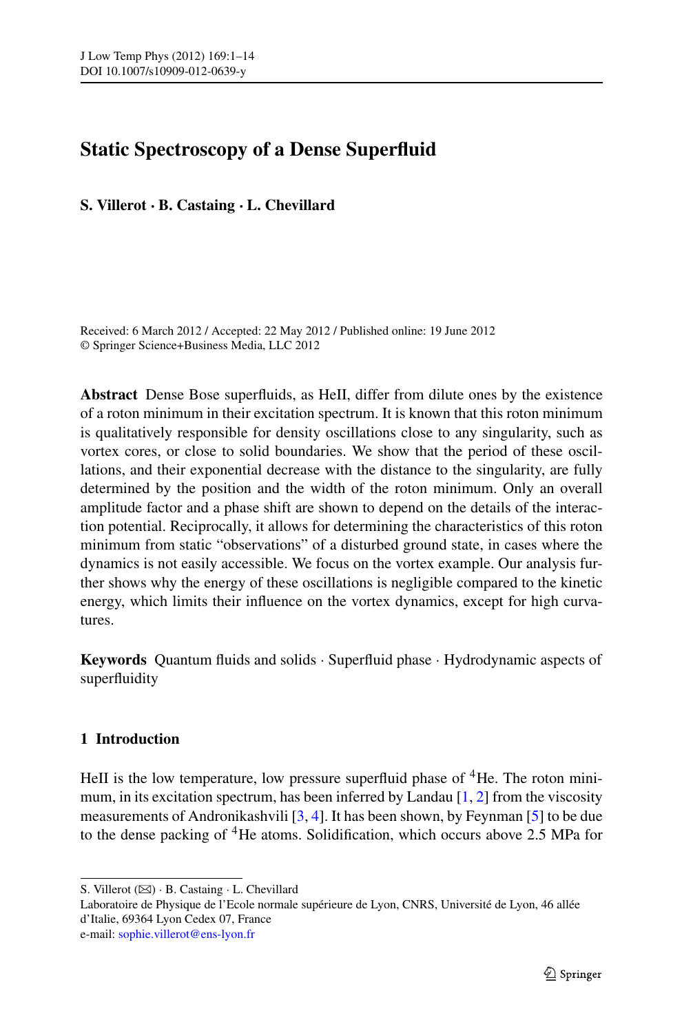# **Static Spectroscopy of a Dense Superfluid**

**S. Villerot · B. Castaing · L. Chevillard**

Received: 6 March 2012 / Accepted: 22 May 2012 / Published online: 19 June 2012 © Springer Science+Business Media, LLC 2012

**Abstract** Dense Bose superfluids, as HeII, differ from dilute ones by the existence of a roton minimum in their excitation spectrum. It is known that this roton minimum is qualitatively responsible for density oscillations close to any singularity, such as vortex cores, or close to solid boundaries. We show that the period of these oscillations, and their exponential decrease with the distance to the singularity, are fully determined by the position and the width of the roton minimum. Only an overall amplitude factor and a phase shift are shown to depend on the details of the interaction potential. Reciprocally, it allows for determining the characteristics of this roton minimum from static "observations" of a disturbed ground state, in cases where the dynamics is not easily accessible. We focus on the vortex example. Our analysis further shows why the energy of these oscillations is negligible compared to the kinetic energy, which limits their influence on the vortex dynamics, except for high curvatures.

**Keywords** Quantum fluids and solids · Superfluid phase · Hydrodynamic aspects of superfluidity

# **1 Introduction**

HeII is the low temperature, low pressure superfluid phase of  ${}^{4}$ He. The roton minimum, in its excitation spectrum, has been inferred by Landau  $[1, 2]$  $[1, 2]$  $[1, 2]$  $[1, 2]$  $[1, 2]$  from the viscosity measurements of Andronikashvili [\[3](#page-12-2), [4\]](#page-12-3). It has been shown, by Feynman [[5\]](#page-12-4) to be due to the dense packing of 4He atoms. Solidification, which occurs above 2.5 MPa for

S. Villerot ( $\boxtimes$ ) · B. Castaing · L. Chevillard

Laboratoire de Physique de l'Ecole normale supérieure de Lyon, CNRS, Université de Lyon, 46 allée d'Italie, 69364 Lyon Cedex 07, France e-mail: [sophie.villerot@ens-lyon.fr](mailto:sophie.villerot@ens-lyon.fr)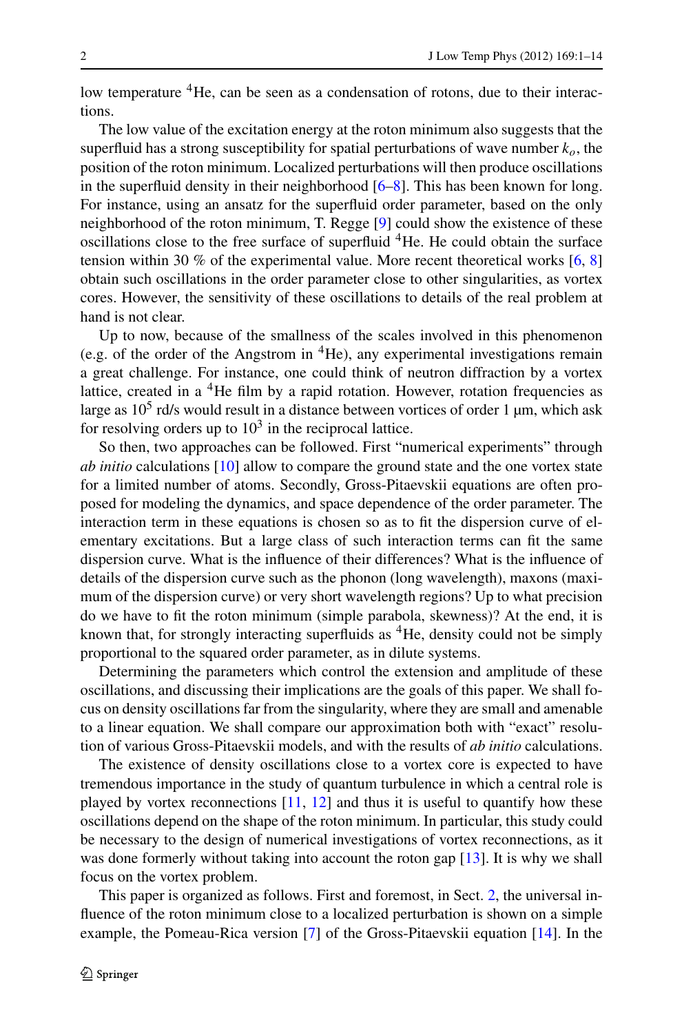low temperature <sup>4</sup>He, can be seen as a condensation of rotons, due to their interactions.

The low value of the excitation energy at the roton minimum also suggests that the superfluid has a strong susceptibility for spatial perturbations of wave number  $k<sub>o</sub>$ , the position of the roton minimum. Localized perturbations will then produce oscillations in the superfluid density in their neighborhood [\[6](#page-12-5)[–8](#page-12-6)]. This has been known for long. For instance, using an ansatz for the superfluid order parameter, based on the only neighborhood of the roton minimum, T. Regge [\[9](#page-12-7)] could show the existence of these oscillations close to the free surface of superfluid <sup>4</sup>He. He could obtain the surface tension within 30 % of the experimental value. More recent theoretical works  $[6, 8]$  $[6, 8]$  $[6, 8]$  $[6, 8]$  $[6, 8]$ obtain such oscillations in the order parameter close to other singularities, as vortex cores. However, the sensitivity of these oscillations to details of the real problem at hand is not clear.

Up to now, because of the smallness of the scales involved in this phenomenon (e.g. of the order of the Angstrom in  ${}^{4}$ He), any experimental investigations remain a great challenge. For instance, one could think of neutron diffraction by a vortex lattice, created in a <sup>4</sup>He film by a rapid rotation. However, rotation frequencies as large as  $10^5$  rd/s would result in a distance between vortices of order 1  $\mu$ m, which ask for resolving orders up to  $10<sup>3</sup>$  in the reciprocal lattice.

So then, two approaches can be followed. First "numerical experiments" through *ab initio* calculations [\[10](#page-12-8)] allow to compare the ground state and the one vortex state for a limited number of atoms. Secondly, Gross-Pitaevskii equations are often proposed for modeling the dynamics, and space dependence of the order parameter. The interaction term in these equations is chosen so as to fit the dispersion curve of elementary excitations. But a large class of such interaction terms can fit the same dispersion curve. What is the influence of their differences? What is the influence of details of the dispersion curve such as the phonon (long wavelength), maxons (maximum of the dispersion curve) or very short wavelength regions? Up to what precision do we have to fit the roton minimum (simple parabola, skewness)? At the end, it is known that, for strongly interacting superfluids as  ${}^{4}$ He, density could not be simply proportional to the squared order parameter, as in dilute systems.

Determining the parameters which control the extension and amplitude of these oscillations, and discussing their implications are the goals of this paper. We shall focus on density oscillations far from the singularity, where they are small and amenable to a linear equation. We shall compare our approximation both with "exact" resolution of various Gross-Pitaevskii models, and with the results of *ab initio* calculations.

The existence of density oscillations close to a vortex core is expected to have tremendous importance in the study of quantum turbulence in which a central role is played by vortex reconnections  $[11, 12]$  $[11, 12]$  $[11, 12]$  $[11, 12]$  and thus it is useful to quantify how these oscillations depend on the shape of the roton minimum. In particular, this study could be necessary to the design of numerical investigations of vortex reconnections, as it was done formerly without taking into account the roton gap [[13\]](#page-12-11). It is why we shall focus on the vortex problem.

This paper is organized as follows. First and foremost, in Sect. [2](#page-2-0), the universal influence of the roton minimum close to a localized perturbation is shown on a simple example, the Pomeau-Rica version [[7\]](#page-12-12) of the Gross-Pitaevskii equation [\[14](#page-12-13)]. In the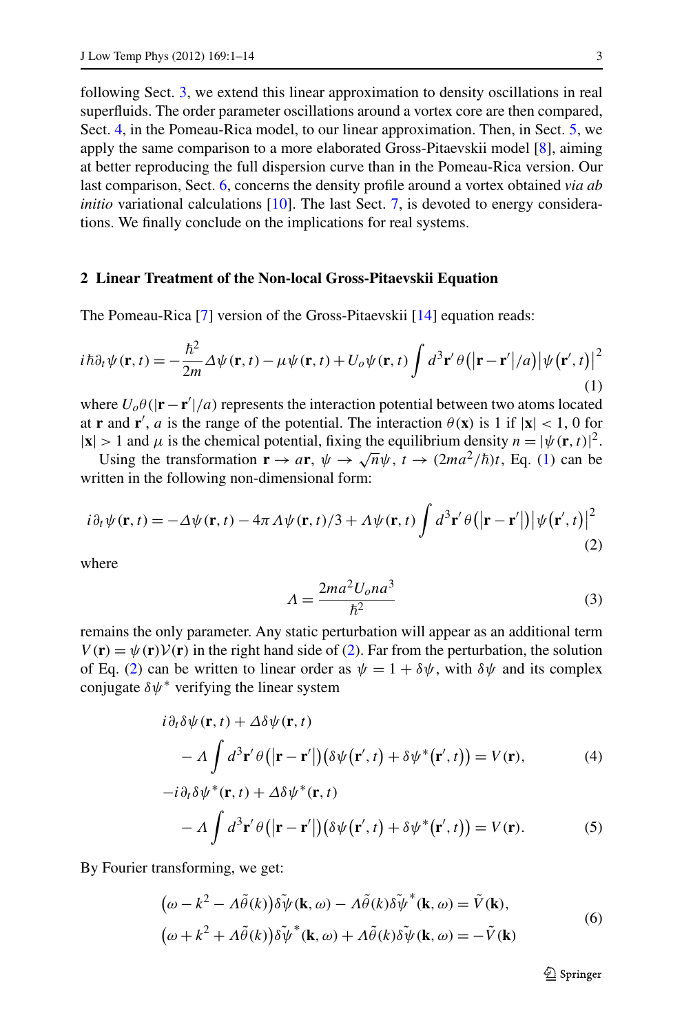<span id="page-2-0"></span>following Sect. [3](#page-3-0), we extend this linear approximation to density oscillations in real superfluids. The order parameter oscillations around a vortex core are then compared, Sect. [4,](#page-5-0) in the Pomeau-Rica model, to our linear approximation. Then, in Sect. [5,](#page-7-0) we apply the same comparison to a more elaborated Gross-Pitaevskii model [\[8](#page-12-6)], aiming at better reproducing the full dispersion curve than in the Pomeau-Rica version. Our last comparison, Sect. [6](#page-8-0), concerns the density profile around a vortex obtained *via ab initio* variational calculations [\[10](#page-12-8)]. The last Sect. [7](#page-10-0), is devoted to energy considerations. We finally conclude on the implications for real systems.

#### **2 Linear Treatment of the Non-local Gross-Pitaevskii Equation**

The Pomeau-Rica [\[7](#page-12-12)] version of the Gross-Pitaevskii [[14\]](#page-12-13) equation reads:

$$
i\hbar\partial_t\psi(\mathbf{r},t) = -\frac{\hbar^2}{2m}\Delta\psi(\mathbf{r},t) - \mu\psi(\mathbf{r},t) + U_o\psi(\mathbf{r},t)\int d^3\mathbf{r}'\,\theta(|\mathbf{r}-\mathbf{r}'|/a)|\psi(\mathbf{r}',t)|^2
$$
\n(1)

where  $U_o \theta(|\mathbf{r} - \mathbf{r}'|/a)$  represents the interaction potential between two atoms located at **r** and **r**<sup>'</sup>, *a* is the range of the potential. The interaction  $\theta$ (**x**) is 1 if  $|\mathbf{x}| < 1$ , 0 for  $|\mathbf{x}| > 1$  and  $\mu$  is the chemical potential, fixing the equilibrium density  $n = |\psi(\mathbf{r}, t)|^2$ .

Using the transformation  $\mathbf{r} \to a\mathbf{r}$ ,  $\psi \to \sqrt{n}\psi$ ,  $t \to (2ma^2/\hbar)t$ , Eq. ([1\)](#page-2-1) can be written in the following non-dimensional form:

$$
i\partial_t \psi(\mathbf{r},t) = -\Delta \psi(\mathbf{r},t) - 4\pi \Lambda \psi(\mathbf{r},t)/3 + \Lambda \psi(\mathbf{r},t) \int d^3 \mathbf{r}' \theta(|\mathbf{r} - \mathbf{r}'|) |\psi(\mathbf{r}',t)|^2
$$
\n(2)

where

<span id="page-2-3"></span><span id="page-2-2"></span><span id="page-2-1"></span>
$$
\Lambda = \frac{2ma^2U_0na^3}{\hbar^2} \tag{3}
$$

remains the only parameter. Any static perturbation will appear as an additional term  $V(\mathbf{r}) = \psi(\mathbf{r}) V(\mathbf{r})$  in the right hand side of ([2\)](#page-2-2). Far from the perturbation, the solution of Eq. ([2\)](#page-2-2) can be written to linear order as  $\psi = 1 + \delta \psi$ , with  $\delta \psi$  and its complex conjugate *δψ*<sup>∗</sup> verifying the linear system

$$
i\partial_t \delta \psi(\mathbf{r}, t) + \Delta \delta \psi(\mathbf{r}, t)
$$
  
-  $\Lambda \int d^3 \mathbf{r}' \theta(|\mathbf{r} - \mathbf{r}'|) (\delta \psi(\mathbf{r}', t) + \delta \psi^*(\mathbf{r}', t)) = V(\mathbf{r}),$  (4)

$$
-i\partial_t \delta \psi^*(\mathbf{r},t) + \Delta \delta \psi^*(\mathbf{r},t)
$$

$$
- \Lambda \int d^3 \mathbf{r}' \theta(|\mathbf{r} - \mathbf{r}'|) (\delta \psi(\mathbf{r}',t) + \delta \psi^*(\mathbf{r}',t)) = V(\mathbf{r}).
$$
 (5)

By Fourier transforming, we get:

$$
(\omega - k^2 - \Lambda \tilde{\theta}(k)) \delta \tilde{\psi}(\mathbf{k}, \omega) - \Lambda \tilde{\theta}(k) \delta \tilde{\psi}^*(\mathbf{k}, \omega) = \tilde{V}(\mathbf{k}),
$$
  
\n
$$
(\omega + k^2 + \Lambda \tilde{\theta}(k)) \delta \tilde{\psi}^*(\mathbf{k}, \omega) + \Lambda \tilde{\theta}(k) \delta \tilde{\psi}(\mathbf{k}, \omega) = -\tilde{V}(\mathbf{k})
$$
\n(6)

 $\circledcirc$  Springer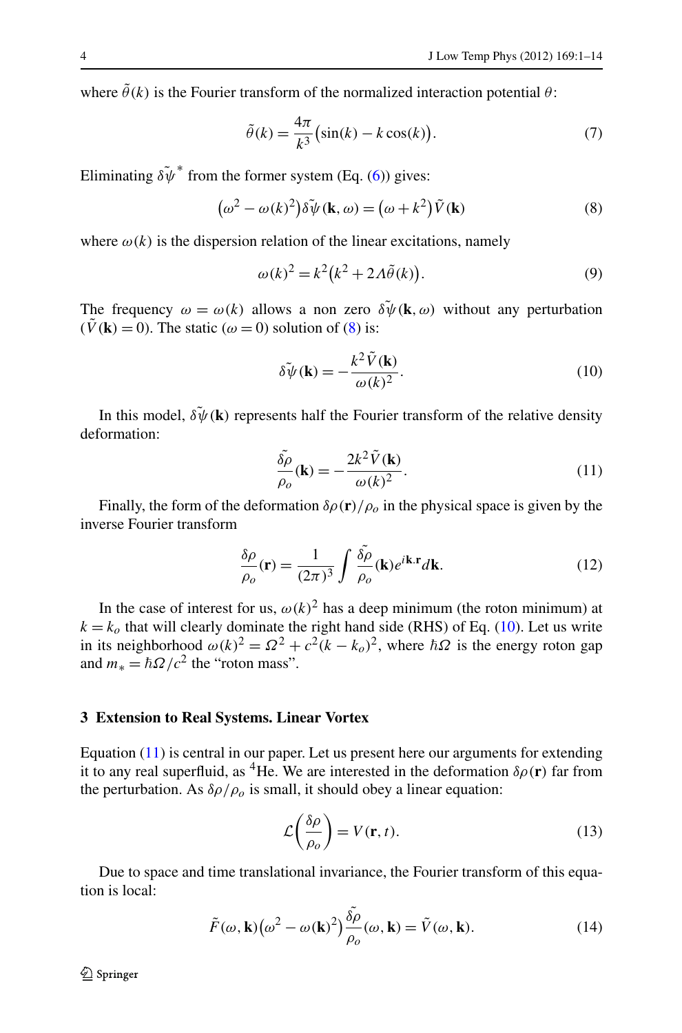where  $\tilde{\theta}(k)$  is the Fourier transform of the normalized interaction potential  $\theta$ :

<span id="page-3-1"></span>
$$
\tilde{\theta}(k) = \frac{4\pi}{k^3} \left( \sin(k) - k \cos(k) \right). \tag{7}
$$

Eliminating  $\delta \psi^*$  from the former system (Eq. [\(6](#page-2-3))) gives:

$$
(\omega^2 - \omega(k)^2)\tilde{\delta}\tilde{\psi}(\mathbf{k}, \omega) = (\omega + k^2)\tilde{V}(\mathbf{k})
$$
\n(8)

where  $\omega(k)$  is the dispersion relation of the linear excitations, namely

<span id="page-3-2"></span>
$$
\omega(k)^2 = k^2(k^2 + 2A\tilde{\theta}(k)).
$$
\n(9)

The frequency  $\omega = \omega(k)$  allows a non zero  $\delta \psi(\mathbf{k}, \omega)$  without any perturbation  $(\tilde{V}(\mathbf{k}) = 0)$ . The static ( $\omega = 0$ ) solution of ([8\)](#page-3-1) is:

<span id="page-3-3"></span>
$$
\delta \tilde{\psi}(\mathbf{k}) = -\frac{k^2 \tilde{V}(\mathbf{k})}{\omega(k)^2}.
$$
 (10)

In this model,  $\delta \psi(\mathbf{k})$  represents half the Fourier transform of the relative density deformation:

<span id="page-3-4"></span>
$$
\frac{\tilde{\delta\rho}}{\rho_o}(\mathbf{k}) = -\frac{2k^2 \tilde{V}(\mathbf{k})}{\omega(k)^2}.
$$
\n(11)

Finally, the form of the deformation  $\delta \rho(\mathbf{r})/\rho_o$  in the physical space is given by the inverse Fourier transform

$$
\frac{\delta \rho}{\rho_o}(\mathbf{r}) = \frac{1}{(2\pi)^3} \int \frac{\tilde{\delta \rho}}{\rho_o}(\mathbf{k}) e^{i\mathbf{k} \cdot \mathbf{r}} d\mathbf{k}.
$$
 (12)

<span id="page-3-0"></span>In the case of interest for us,  $\omega(k)^2$  has a deep minimum (the roton minimum) at  $k = k<sub>o</sub>$  that will clearly dominate the right hand side (RHS) of Eq. [\(10](#page-3-2)). Let us write in its neighborhood  $\omega(k)^2 = \Omega^2 + c^2(k - k_o)^2$ , where  $\hbar\Omega$  is the energy roton gap and  $m_* = \hbar \Omega / c^2$  the "roton mass".

### **3 Extension to Real Systems. Linear Vortex**

Equation [\(11](#page-3-3)) is central in our paper. Let us present here our arguments for extending it to any real superfluid, as <sup>4</sup>He. We are interested in the deformation  $\delta \rho(\mathbf{r})$  far from the perturbation. As  $\delta \rho / \rho_o$  is small, it should obey a linear equation:

$$
\mathcal{L}\left(\frac{\delta\rho}{\rho_o}\right) = V(\mathbf{r}, t). \tag{13}
$$

Due to space and time translational invariance, the Fourier transform of this equation is local:

$$
\tilde{F}(\omega, \mathbf{k}) (\omega^2 - \omega(\mathbf{k})^2) \frac{\tilde{\delta \rho}}{\rho_o}(\omega, \mathbf{k}) = \tilde{V}(\omega, \mathbf{k}).
$$
\n(14)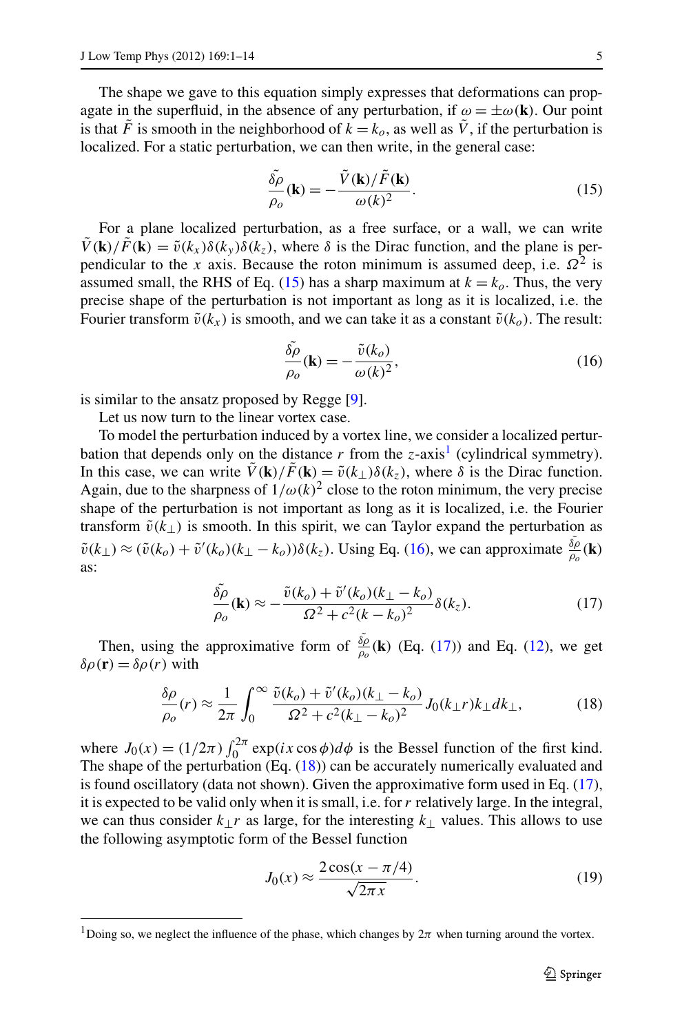The shape we gave to this equation simply expresses that deformations can propagate in the superfluid, in the absence of any perturbation, if  $\omega = \pm \omega(\mathbf{k})$ . Our point is that  $\tilde{F}$  is smooth in the neighborhood of  $k = k_o$ , as well as  $\tilde{V}$ , if the perturbation is localized. For a static perturbation, we can then write, in the general case:

<span id="page-4-2"></span><span id="page-4-0"></span>
$$
\frac{\tilde{\delta \rho}}{\rho_o}(\mathbf{k}) = -\frac{\tilde{V}(\mathbf{k})/\tilde{F}(\mathbf{k})}{\omega(k)^2}.
$$
\n(15)

For a plane localized perturbation, as a free surface, or a wall, we can write  $\tilde{V}(\mathbf{k})/\tilde{F}(\mathbf{k}) = \tilde{v}(k_x)\delta(k_y)\delta(k_z)$ , where  $\delta$  is the Dirac function, and the plane is perpendicular to the *x* axis. Because the roton minimum is assumed deep, i.e.  $\Omega^2$  is assumed small, the RHS of Eq. [\(15](#page-4-0)) has a sharp maximum at  $k = k<sub>o</sub>$ . Thus, the very precise shape of the perturbation is not important as long as it is localized, i.e. the Fourier transform  $\tilde{v}(k_x)$  is smooth, and we can take it as a constant  $\tilde{v}(k_o)$ . The result:

<span id="page-4-3"></span>
$$
\frac{\tilde{\delta\rho}}{\rho_o}(\mathbf{k}) = -\frac{\tilde{v}(k_o)}{\omega(k)^2},\tag{16}
$$

is similar to the ansatz proposed by Regge [[9\]](#page-12-7).

Let us now turn to the linear vortex case.

To model the perturbation induced by a vortex line, we consider a localized perturbation that depends only on the distance  $r$  from the  $z$ -axis<sup>[1](#page-4-1)</sup> (cylindrical symmetry). In this case, we can write  $\tilde{V}(\mathbf{k})/\tilde{F}(\mathbf{k}) = \tilde{v}(k_{\perp})\delta(k_z)$ , where  $\delta$  is the Dirac function. Again, due to the sharpness of  $1/\omega(k)^2$  close to the roton minimum, the very precise shape of the perturbation is not important as long as it is localized, i.e. the Fourier transform  $\tilde{v}(k_{\perp})$  is smooth. In this spirit, we can Taylor expand the perturbation as  $\tilde{v}(k_{\perp}) \approx (\tilde{v}(k_o) + \tilde{v}'(k_o)(k_{\perp} - k_o))\delta(k_z)$ . Using Eq. ([16\)](#page-4-2), we can approximate  $\frac{\delta \rho}{\rho_o}(\mathbf{k})$ as:

<span id="page-4-4"></span>
$$
\frac{\tilde{\delta\rho}}{\rho_o}(\mathbf{k}) \approx -\frac{\tilde{v}(k_o) + \tilde{v}'(k_o)(k_\perp - k_o)}{\Omega^2 + c^2(k - k_o)^2} \delta(k_z). \tag{17}
$$

Then, using the approximative form of  $\frac{\delta \rho}{\rho_o}$  (**k**) (Eq. ([17\)](#page-4-3)) and Eq. ([12\)](#page-3-4), we get  $δρ$ (**r**) =  $δρ(r)$  with

$$
\frac{\delta \rho}{\rho_o}(r) \approx \frac{1}{2\pi} \int_0^\infty \frac{\tilde{v}(k_o) + \tilde{v}'(k_o)(k_\perp - k_o)}{\Omega^2 + c^2 (k_\perp - k_o)^2} J_0(k_\perp r) k_\perp dk_\perp,\tag{18}
$$

<span id="page-4-1"></span>where  $J_0(x) = (1/2\pi) \int_0^{2\pi} \exp(ix \cos \phi) d\phi$  is the Bessel function of the first kind. The shape of the perturbation (Eq. ([18\)](#page-4-4)) can be accurately numerically evaluated and is found oscillatory (data not shown). Given the approximative form used in Eq. ([17\)](#page-4-3), it is expected to be valid only when it is small, i.e. for *r* relatively large. In the integral, we can thus consider *k*⊥*r* as large, for the interesting *k*⊥ values. This allows to use the following asymptotic form of the Bessel function

<span id="page-4-5"></span>
$$
J_0(x) \approx \frac{2\cos(x - \pi/4)}{\sqrt{2\pi x}}.\tag{19}
$$

<sup>&</sup>lt;sup>1</sup>Doing so, we neglect the influence of the phase, which changes by  $2\pi$  when turning around the vortex.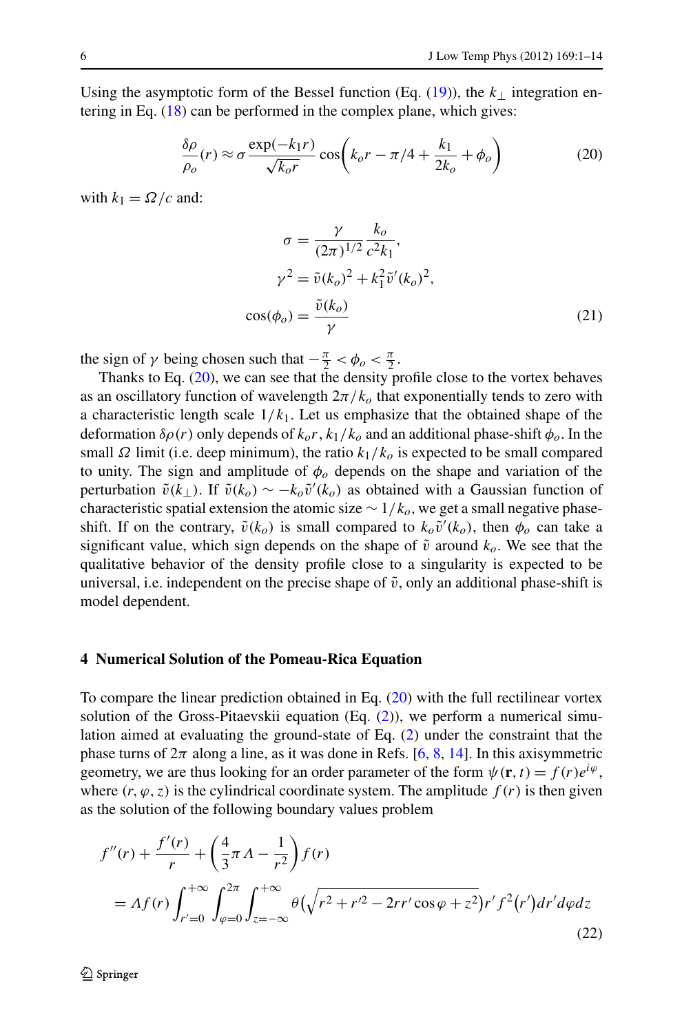Using the asymptotic form of the Bessel function (Eq.  $(19)$  $(19)$ ), the  $k_{\perp}$  integration entering in Eq.  $(18)$  $(18)$  can be performed in the complex plane, which gives:

$$
\frac{\delta \rho}{\rho_o}(r) \approx \sigma \frac{\exp(-k_1 r)}{\sqrt{k_o r}} \cos\left(k_o r - \pi/4 + \frac{k_1}{2k_o} + \phi_o\right)
$$
(20)

with  $k_1 = \Omega/c$  and:

<span id="page-5-3"></span><span id="page-5-1"></span>
$$
\sigma = \frac{\gamma}{(2\pi)^{1/2}} \frac{k_o}{c^2 k_1},
$$
  
\n
$$
\gamma^2 = \tilde{v}(k_o)^2 + k_1^2 \tilde{v}'(k_o)^2,
$$
  
\n
$$
\cos(\phi_o) = \frac{\tilde{v}(k_o)}{\gamma}
$$
\n(21)

the sign of *γ* being chosen such that  $-\frac{\pi}{2} < \phi_o < \frac{\pi}{2}$ .

Thanks to Eq. [\(20](#page-5-1)), we can see that the density profile close to the vortex behaves as an oscillatory function of wavelength  $2\pi/k_o$  that exponentially tends to zero with a characteristic length scale  $1/k_1$ . Let us emphasize that the obtained shape of the deformation  $\delta \rho(r)$  only depends of  $k_0r$ ,  $k_1/k_0$  and an additional phase-shift  $\phi_0$ . In the small *Ω* limit (i.e. deep minimum), the ratio  $k_1/k_0$  is expected to be small compared to unity. The sign and amplitude of  $\phi$  depends on the shape and variation of the perturbation  $\tilde{v}(k_{\perp})$ . If  $\tilde{v}(k_o) \sim -k_o \tilde{v}'(k_o)$  as obtained with a Gaussian function of characteristic spatial extension the atomic size  $\sim 1/k_o$ , we get a small negative phaseshift. If on the contrary,  $\tilde{v}(k_o)$  is small compared to  $k_o\tilde{v}'(k_o)$ , then  $\phi_o$  can take a significant value, which sign depends on the shape of  $\tilde{v}$  around  $k_o$ . We see that the qualitative behavior of the density profile close to a singularity is expected to be universal, i.e. independent on the precise shape of  $\tilde{v}$ , only an additional phase-shift is model dependent.

#### <span id="page-5-0"></span>**4 Numerical Solution of the Pomeau-Rica Equation**

To compare the linear prediction obtained in Eq. [\(20](#page-5-1)) with the full rectilinear vortex solution of the Gross-Pitaevskii equation (Eq. ([2\)](#page-2-2)), we perform a numerical simulation aimed at evaluating the ground-state of Eq. ([2\)](#page-2-2) under the constraint that the phase turns of  $2\pi$  along a line, as it was done in Refs. [\[6](#page-12-5), [8](#page-12-6), [14\]](#page-12-13). In this axisymmetric geometry, we are thus looking for an order parameter of the form  $\psi(\mathbf{r}, t) = f(r)e^{i\varphi}$ , where  $(r, \varphi, z)$  is the cylindrical coordinate system. The amplitude  $f(r)$  is then given as the solution of the following boundary values problem

<span id="page-5-2"></span>
$$
f''(r) + \frac{f'(r)}{r} + \left(\frac{4}{3}\pi A - \frac{1}{r^2}\right) f(r)
$$
  
=  $Af(r) \int_{r'=0}^{+\infty} \int_{\varphi=0}^{2\pi} \int_{z=-\infty}^{+\infty} \theta \left(\sqrt{r^2 + r'^2 - 2rr'\cos\varphi + z^2}\right) r' f^2(r') dr' d\varphi dz$  (22)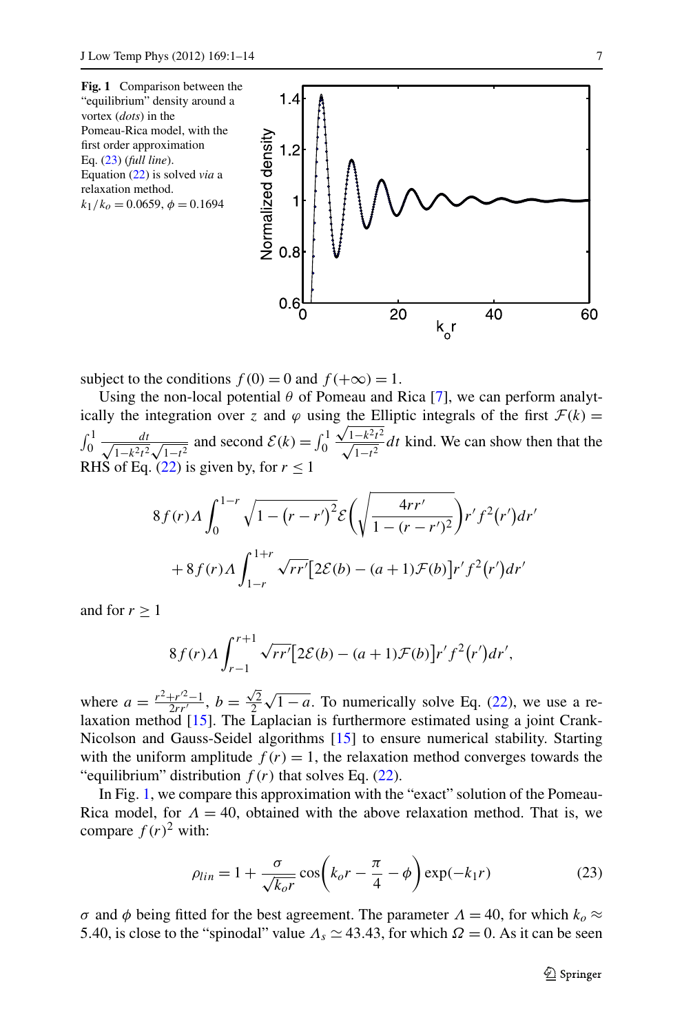<span id="page-6-1"></span>

subject to the conditions  $f(0) = 0$  and  $f(+\infty) = 1$ .

Using the non-local potential  $\theta$  of Pomeau and Rica [[7\]](#page-12-12), we can perform analytically the integration over *z* and  $\varphi$  using the Elliptic integrals of the first  $\mathcal{F}(k)$  =  $\int_0^1 \frac{dt}{\sqrt{1-k^2t^2}}$  $\frac{dt}{1-k^2t^2\sqrt{1-t^2}}$  and second  $\mathcal{E}(k) = \int_0^1$ g uie Ei $\sqrt{1-k^2t^2}$  $\sqrt{1-k^2}$  *dt* kind. We can show then that the RHS of Eq.  $(22)$  $(22)$  is given by, for  $r < 1$ 

$$
8f(r)\Lambda \int_0^{1-r} \sqrt{1 - (r - r')^2} \mathcal{E}\left(\sqrt{\frac{4rr'}{1 - (r - r')^2}}\right) r' f^2(r') dr' + 8f(r)\Lambda \int_{1-r}^{1+r} \sqrt{rr'} [2\mathcal{E}(b) - (a+1)\mathcal{F}(b)] r' f^2(r') dr'
$$

and for  $r > 1$ 

$$
8f(r)\Lambda \int_{r-1}^{r+1} \sqrt{rr'} [2\mathcal{E}(b) - (a+1)\mathcal{F}(b)]r'f^{2}(r')dr',
$$

where  $a = \frac{r^2 + r^2 - 1}{2rr'}$ ,  $b = \frac{\sqrt{2}}{2}\sqrt{1 - a}$ . To numerically solve Eq. [\(22](#page-5-2)), we use a relaxation method [[15\]](#page-13-0). The Laplacian is furthermore estimated using a joint Crank-Nicolson and Gauss-Seidel algorithms [\[15](#page-13-0)] to ensure numerical stability. Starting with the uniform amplitude  $f(r) = 1$ , the relaxation method converges towards the "equilibrium" distribution  $f(r)$  that solves Eq. ([22\)](#page-5-2).

In Fig. [1](#page-6-1), we compare this approximation with the "exact" solution of the Pomeau-Rica model, for  $\Lambda = 40$ , obtained with the above relaxation method. That is, we compare  $f(r)^2$  with:

<span id="page-6-0"></span>
$$
\rho_{lin} = 1 + \frac{\sigma}{\sqrt{k_o r}} \cos \left( k_o r - \frac{\pi}{4} - \phi \right) \exp(-k_1 r) \tag{23}
$$

*σ* and *φ* being fitted for the best agreement. The parameter  $Λ = 40$ , for which  $k_0 \approx$ 5.40, is close to the "spinodal" value  $\Lambda_s \simeq 43.43$ , for which  $\Omega = 0$ . As it can be seen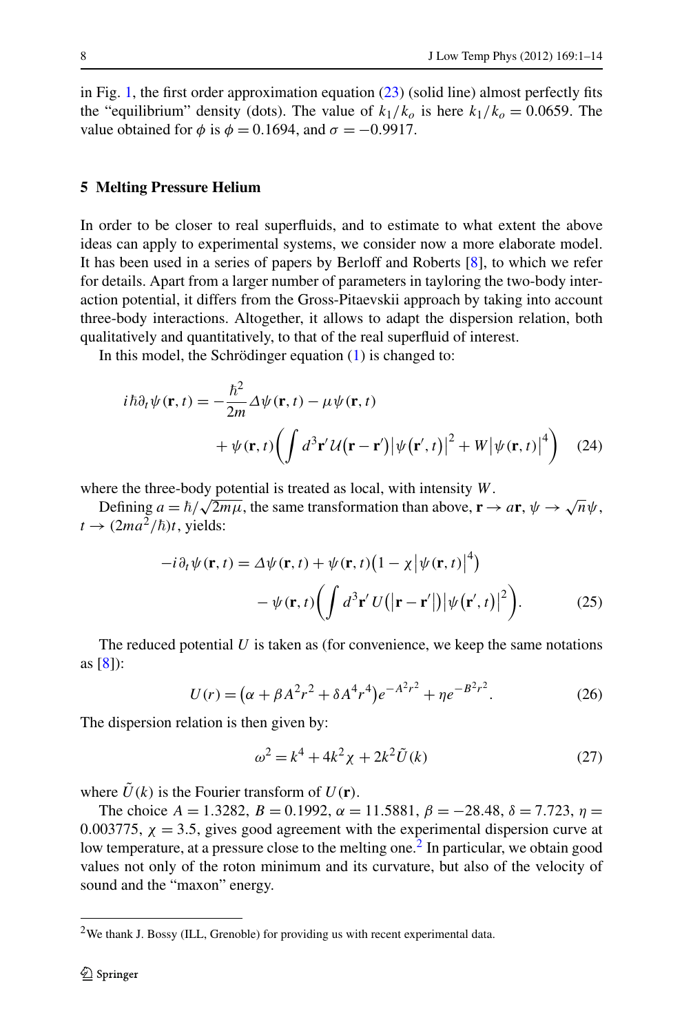<span id="page-7-0"></span>in Fig. [1](#page-6-1), the first order approximation equation [\(23](#page-6-0)) (solid line) almost perfectly fits the "equilibrium" density (dots). The value of  $k_1/k_0$  is here  $k_1/k_0 = 0.0659$ . The value obtained for  $\phi$  is  $\phi = 0.1694$ , and  $\sigma = -0.9917$ .

#### **5 Melting Pressure Helium**

In order to be closer to real superfluids, and to estimate to what extent the above ideas can apply to experimental systems, we consider now a more elaborate model. It has been used in a series of papers by Berloff and Roberts [\[8](#page-12-6)], to which we refer for details. Apart from a larger number of parameters in tayloring the two-body interaction potential, it differs from the Gross-Pitaevskii approach by taking into account three-body interactions. Altogether, it allows to adapt the dispersion relation, both qualitatively and quantitatively, to that of the real superfluid of interest.

In this model, the Schrödinger equation [\(1](#page-2-1)) is changed to:

$$
i\hbar\partial_t\psi(\mathbf{r},t) = -\frac{\hbar^2}{2m}\Delta\psi(\mathbf{r},t) - \mu\psi(\mathbf{r},t) + \psi(\mathbf{r},t)\left(\int d^3\mathbf{r}'\mathcal{U}(\mathbf{r}-\mathbf{r}')\left|\psi(\mathbf{r}',t)\right|^2 + W\left|\psi(\mathbf{r},t)\right|^4\right)
$$
(24)

where the three-body potential is treated as local, with intensity *W*.

 $\Delta$ *b*  $\Delta$ *i* =  $\hbar/\sqrt{2m\mu}$ , the same transformation than above,  $\mathbf{r} \to a\mathbf{r}$ ,  $\psi \to \sqrt{n}\psi$ ,  $t \rightarrow (2ma^2/\hbar)t$ , yields:

<span id="page-7-2"></span>
$$
-i\partial_t \psi(\mathbf{r},t) = \Delta \psi(\mathbf{r},t) + \psi(\mathbf{r},t) \left(1 - \chi |\psi(\mathbf{r},t)|^4\right)
$$

$$
- \psi(\mathbf{r},t) \left(\int d^3 \mathbf{r}' U(|\mathbf{r} - \mathbf{r}'|) |\psi(\mathbf{r}',t)|^2\right).
$$
(25)

The reduced potential *U* is taken as (for convenience, we keep the same notations as [[8\]](#page-12-6)):

$$
U(r) = (\alpha + \beta A^2 r^2 + \delta A^4 r^4) e^{-A^2 r^2} + \eta e^{-B^2 r^2}.
$$
 (26)

The dispersion relation is then given by:

$$
\omega^2 = k^4 + 4k^2 \chi + 2k^2 \tilde{U}(k)
$$
 (27)

<span id="page-7-3"></span><span id="page-7-1"></span>where  $\hat{U}(k)$  is the Fourier transform of  $U(\mathbf{r})$ .

The choice  $A = 1.3282$ ,  $B = 0.1992$ ,  $\alpha = 11.5881$ ,  $\beta = -28.48$ ,  $\delta = 7.723$ ,  $\eta =$ 0.003775,  $\chi$  = 3.5, gives good agreement with the experimental dispersion curve at low temperature, at a pressure close to the melting one.<sup>2</sup> In particular, we obtain good values not only of the roton minimum and its curvature, but also of the velocity of sound and the "maxon" energy.

<sup>&</sup>lt;sup>2</sup>We thank J. Bossy (ILL, Grenoble) for providing us with recent experimental data.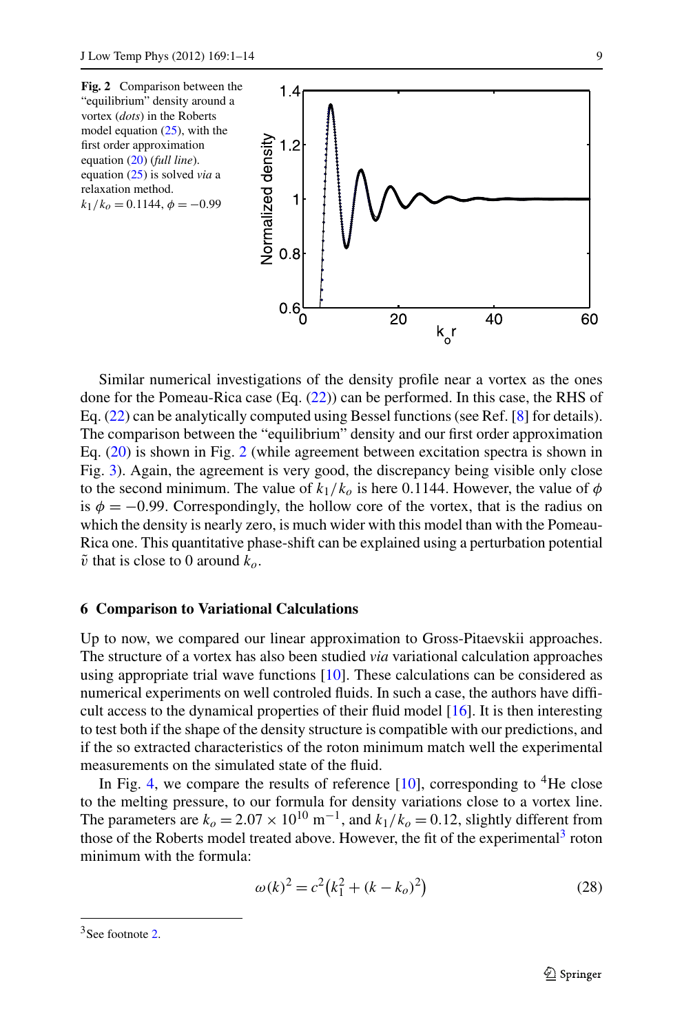<span id="page-8-1"></span>

<span id="page-8-0"></span>Similar numerical investigations of the density profile near a vortex as the ones done for the Pomeau-Rica case (Eq. ([22\)](#page-5-2)) can be performed. In this case, the RHS of Eq. ([22\)](#page-5-2) can be analytically computed using Bessel functions (see Ref. [[8\]](#page-12-6) for details). The comparison between the "equilibrium" density and our first order approximation Eq. [\(20](#page-5-1)) is shown in Fig. [2](#page-8-1) (while agreement between excitation spectra is shown in Fig. [3](#page-9-0)). Again, the agreement is very good, the discrepancy being visible only close to the second minimum. The value of  $k_1/k_0$  is here 0.1144. However, the value of  $\phi$ is  $\phi = -0.99$ . Correspondingly, the hollow core of the vortex, that is the radius on which the density is nearly zero, is much wider with this model than with the Pomeau-Rica one. This quantitative phase-shift can be explained using a perturbation potential  $\tilde{v}$  that is close to 0 around  $k_o$ .

#### **6 Comparison to Variational Calculations**

Up to now, we compared our linear approximation to Gross-Pitaevskii approaches. The structure of a vortex has also been studied *via* variational calculation approaches using appropriate trial wave functions [[10\]](#page-12-8). These calculations can be considered as numerical experiments on well controled fluids. In such a case, the authors have difficult access to the dynamical properties of their fluid model [\[16\]](#page-13-1). It is then interesting to test both if the shape of the density structure is compatible with our predictions, and if the so extracted characteristics of the roton minimum match well the experimental measurements on the simulated state of the fluid.

<span id="page-8-2"></span>In Fig. [4,](#page-9-1) we compare the results of reference  $[10]$  $[10]$ , corresponding to <sup>4</sup>He close to the melting pressure, to our formula for density variations close to a vortex line. The parameters are  $k_0 = 2.07 \times 10^{10} \text{ m}^{-1}$ , and  $k_1/k_0 = 0.12$ , slightly different from those of the Roberts model treated above. However, the fit of the experimental<sup>[3](#page-8-2)</sup> roton minimum with the formula:

$$
\omega(k)^2 = c^2 (k_1^2 + (k - k_o)^2)
$$
 (28)

<sup>&</sup>lt;sup>3</sup>See footnote [2.](#page-7-3)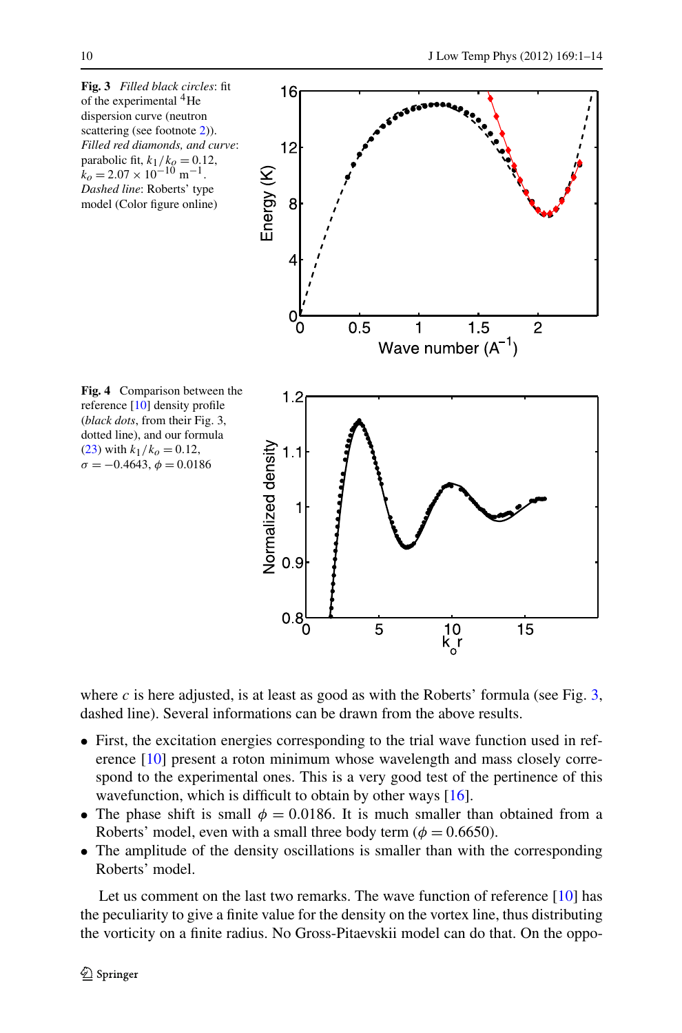<span id="page-9-1"></span><span id="page-9-0"></span>

where  $c$  is here adjusted, is at least as good as with the Roberts' formula (see Fig. [3](#page-9-0), dashed line). Several informations can be drawn from the above results.

- First, the excitation energies corresponding to the trial wave function used in reference [\[10](#page-12-8)] present a roton minimum whose wavelength and mass closely correspond to the experimental ones. This is a very good test of the pertinence of this wavefunction, which is difficult to obtain by other ways [[16\]](#page-13-1).
- The phase shift is small  $\phi = 0.0186$ . It is much smaller than obtained from a Roberts' model, even with a small three body term ( $\phi = 0.6650$ ).
- The amplitude of the density oscillations is smaller than with the corresponding Roberts' model.

Let us comment on the last two remarks. The wave function of reference [\[10](#page-12-8)] has the peculiarity to give a finite value for the density on the vortex line, thus distributing the vorticity on a finite radius. No Gross-Pitaevskii model can do that. On the oppo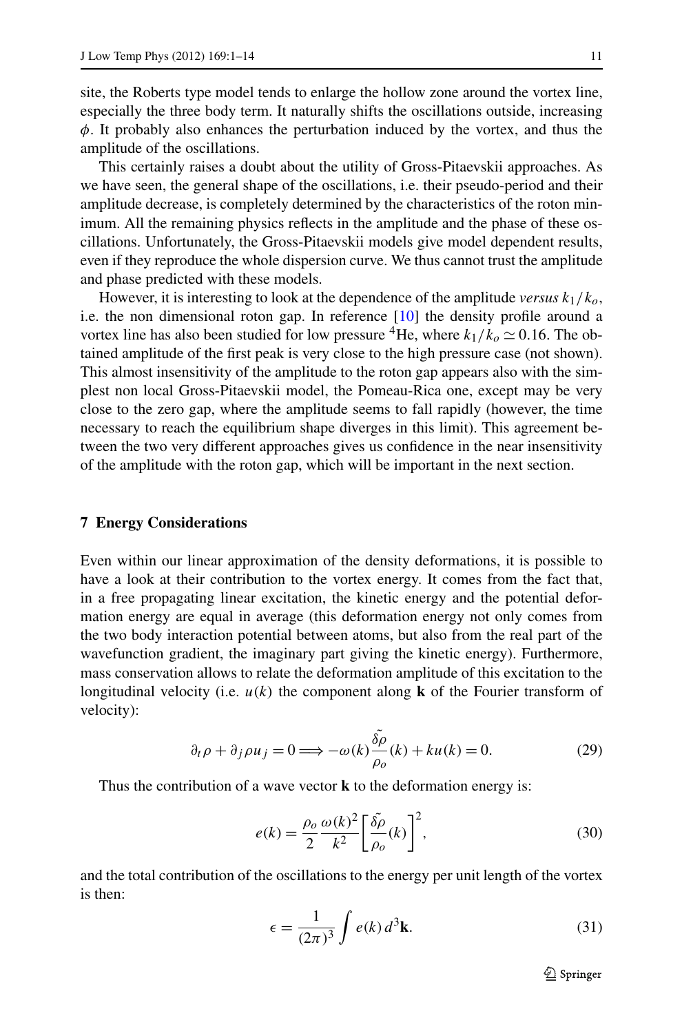site, the Roberts type model tends to enlarge the hollow zone around the vortex line, especially the three body term. It naturally shifts the oscillations outside, increasing *φ*. It probably also enhances the perturbation induced by the vortex, and thus the amplitude of the oscillations.

This certainly raises a doubt about the utility of Gross-Pitaevskii approaches. As we have seen, the general shape of the oscillations, i.e. their pseudo-period and their amplitude decrease, is completely determined by the characteristics of the roton minimum. All the remaining physics reflects in the amplitude and the phase of these oscillations. Unfortunately, the Gross-Pitaevskii models give model dependent results, even if they reproduce the whole dispersion curve. We thus cannot trust the amplitude and phase predicted with these models.

<span id="page-10-0"></span>However, it is interesting to look at the dependence of the amplitude *versus k*1*/ko*, i.e. the non dimensional roton gap. In reference [\[10\]](#page-12-8) the density profile around a vortex line has also been studied for low pressure <sup>4</sup>He, where  $k_1/k_0 \simeq 0.16$ . The obtained amplitude of the first peak is very close to the high pressure case (not shown). This almost insensitivity of the amplitude to the roton gap appears also with the simplest non local Gross-Pitaevskii model, the Pomeau-Rica one, except may be very close to the zero gap, where the amplitude seems to fall rapidly (however, the time necessary to reach the equilibrium shape diverges in this limit). This agreement between the two very different approaches gives us confidence in the near insensitivity of the amplitude with the roton gap, which will be important in the next section.

#### **7 Energy Considerations**

Even within our linear approximation of the density deformations, it is possible to have a look at their contribution to the vortex energy. It comes from the fact that, in a free propagating linear excitation, the kinetic energy and the potential deformation energy are equal in average (this deformation energy not only comes from the two body interaction potential between atoms, but also from the real part of the wavefunction gradient, the imaginary part giving the kinetic energy). Furthermore, mass conservation allows to relate the deformation amplitude of this excitation to the longitudinal velocity (i.e. *u(k)* the component along **k** of the Fourier transform of velocity):

$$
\partial_t \rho + \partial_j \rho u_j = 0 \Longrightarrow -\omega(k) \frac{\delta \tilde{\rho}}{\rho_o}(k) + ku(k) = 0.
$$
 (29)

Thus the contribution of a wave vector **k** to the deformation energy is:

$$
e(k) = \frac{\rho_o}{2} \frac{\omega(k)^2}{k^2} \left[ \frac{\tilde{\delta \rho}}{\rho_o}(k) \right]^2,
$$
\n(30)

and the total contribution of the oscillations to the energy per unit length of the vortex is then:

$$
\epsilon = \frac{1}{(2\pi)^3} \int e(k) d^3 \mathbf{k}.
$$
 (31)

<span id="page-10-1"></span> $\mathcal{D}$  Springer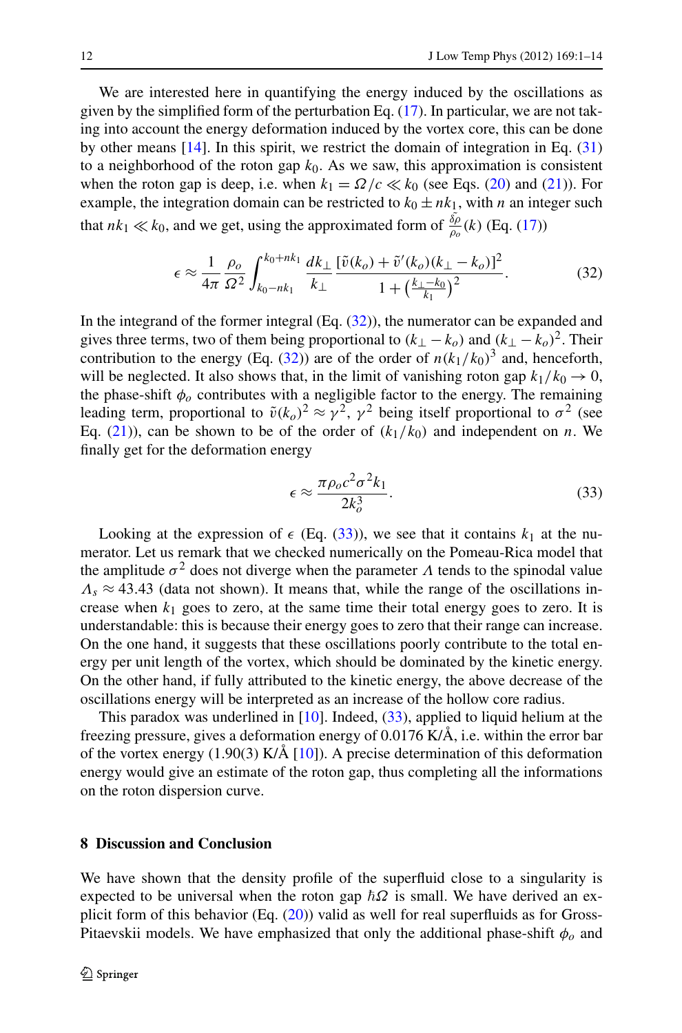We are interested here in quantifying the energy induced by the oscillations as given by the simplified form of the perturbation Eq. ([17\)](#page-4-3). In particular, we are not taking into account the energy deformation induced by the vortex core, this can be done by other means  $[14]$  $[14]$ . In this spirit, we restrict the domain of integration in Eq.  $(31)$  $(31)$ to a neighborhood of the roton gap  $k_0$ . As we saw, this approximation is consistent when the roton gap is deep, i.e. when  $k_1 = \Omega/c \ll k_0$  (see Eqs. ([20\)](#page-5-1) and ([21\)](#page-5-3)). For example, the integration domain can be restricted to  $k_0 \pm nk_1$ , with *n* an integer such that  $nk_1 \ll k_0$ , and we get, using the approximated form of  $\frac{\delta \rho}{\rho_o}(k)$  (Eq. [\(17](#page-4-3)))

<span id="page-11-0"></span>
$$
\epsilon \approx \frac{1}{4\pi} \frac{\rho_o}{\Omega^2} \int_{k_0 - nk_1}^{k_0 + nk_1} \frac{dk_\perp}{k_\perp} \frac{[\tilde{v}(k_o) + \tilde{v}'(k_o)(k_\perp - k_o)]^2}{1 + \left(\frac{k_\perp - k_0}{k_1}\right)^2}.
$$
 (32)

In the integrand of the former integral  $(Eq. (32))$  $(Eq. (32))$  $(Eq. (32))$ , the numerator can be expanded and gives three terms, two of them being proportional to  $(k_{\perp} - k_o)$  and  $(k_{\perp} - k_o)^2$ . Their contribution to the energy (Eq. ([32\)](#page-11-0)) are of the order of  $n(k_1/k_0)^3$  and, henceforth, will be neglected. It also shows that, in the limit of vanishing roton gap  $k_1/k_0 \rightarrow 0$ , the phase-shift  $\phi$ <sup>o</sup> contributes with a negligible factor to the energy. The remaining leading term, proportional to  $\tilde{v}(k_0)^2 \approx \gamma^2$ ,  $\gamma^2$  being itself proportional to  $\sigma^2$  (see Eq. [\(21](#page-5-3))), can be shown to be of the order of  $(k_1/k_0)$  and independent on *n*. We finally get for the deformation energy

<span id="page-11-1"></span>
$$
\epsilon \approx \frac{\pi \rho_o c^2 \sigma^2 k_1}{2k_o^3}.
$$
\n(33)

Looking at the expression of  $\epsilon$  (Eq. ([33\)](#page-11-1)), we see that it contains  $k_1$  at the numerator. Let us remark that we checked numerically on the Pomeau-Rica model that the amplitude  $\sigma^2$  does not diverge when the parameter  $\Lambda$  tends to the spinodal value  $Λ<sub>s</sub> \approx 43.43$  (data not shown). It means that, while the range of the oscillations increase when  $k_1$  goes to zero, at the same time their total energy goes to zero. It is understandable: this is because their energy goes to zero that their range can increase. On the one hand, it suggests that these oscillations poorly contribute to the total energy per unit length of the vortex, which should be dominated by the kinetic energy. On the other hand, if fully attributed to the kinetic energy, the above decrease of the oscillations energy will be interpreted as an increase of the hollow core radius.

This paradox was underlined in [[10\]](#page-12-8). Indeed, ([33\)](#page-11-1), applied to liquid helium at the freezing pressure, gives a deformation energy of 0.0176 K/Å, i.e. within the error bar of the vortex energy (1.90(3) K/Å [\[10](#page-12-8)]). A precise determination of this deformation energy would give an estimate of the roton gap, thus completing all the informations on the roton dispersion curve.

#### **8 Discussion and Conclusion**

We have shown that the density profile of the superfluid close to a singularity is expected to be universal when the roton gap  $\hbar\Omega$  is small. We have derived an explicit form of this behavior (Eq. ([20\)](#page-5-1)) valid as well for real superfluids as for Gross-Pitaevskii models. We have emphasized that only the additional phase-shift  $\phi_o$  and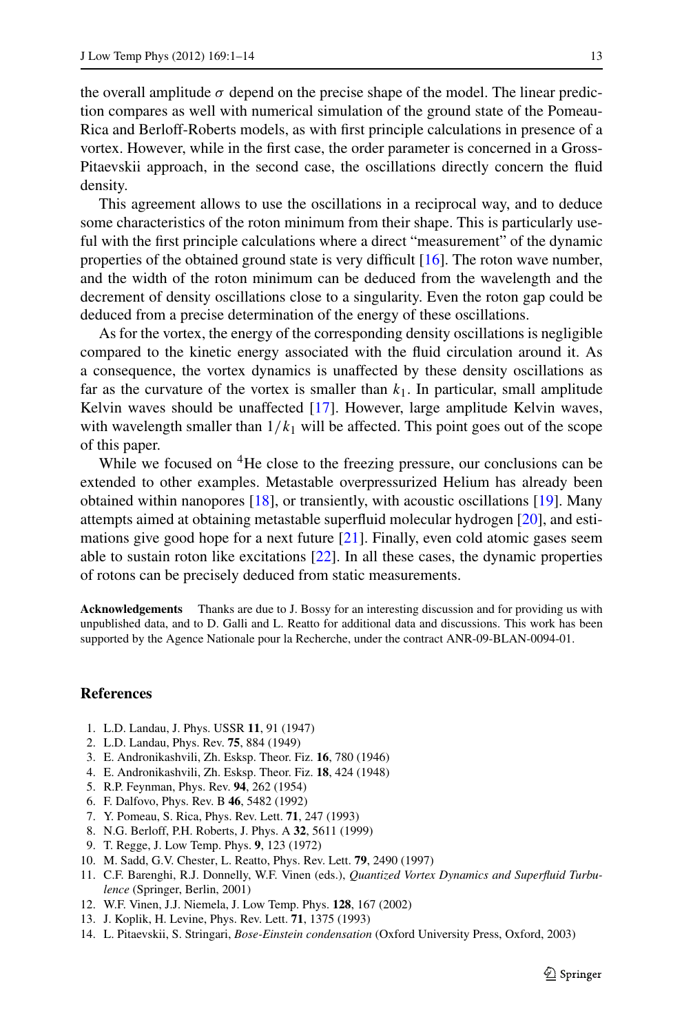the overall amplitude  $\sigma$  depend on the precise shape of the model. The linear prediction compares as well with numerical simulation of the ground state of the Pomeau-Rica and Berloff-Roberts models, as with first principle calculations in presence of a vortex. However, while in the first case, the order parameter is concerned in a Gross-Pitaevskii approach, in the second case, the oscillations directly concern the fluid density.

This agreement allows to use the oscillations in a reciprocal way, and to deduce some characteristics of the roton minimum from their shape. This is particularly useful with the first principle calculations where a direct "measurement" of the dynamic properties of the obtained ground state is very difficult [\[16](#page-13-1)]. The roton wave number, and the width of the roton minimum can be deduced from the wavelength and the decrement of density oscillations close to a singularity. Even the roton gap could be deduced from a precise determination of the energy of these oscillations.

As for the vortex, the energy of the corresponding density oscillations is negligible compared to the kinetic energy associated with the fluid circulation around it. As a consequence, the vortex dynamics is unaffected by these density oscillations as far as the curvature of the vortex is smaller than  $k_1$ . In particular, small amplitude Kelvin waves should be unaffected [[17\]](#page-13-2). However, large amplitude Kelvin waves, with wavelength smaller than  $1/k_1$  will be affected. This point goes out of the scope of this paper.

While we focused on <sup>4</sup>He close to the freezing pressure, our conclusions can be extended to other examples. Metastable overpressurized Helium has already been obtained within nanopores [[18\]](#page-13-3), or transiently, with acoustic oscillations [[19\]](#page-13-4). Many attempts aimed at obtaining metastable superfluid molecular hydrogen [[20\]](#page-13-5), and estimations give good hope for a next future [[21](#page-13-6)]. Finally, even cold atomic gases seem able to sustain roton like excitations [[22\]](#page-13-7). In all these cases, the dynamic properties of rotons can be precisely deduced from static measurements.

<span id="page-12-4"></span><span id="page-12-3"></span><span id="page-12-2"></span><span id="page-12-1"></span><span id="page-12-0"></span>**Acknowledgements** Thanks are due to J. Bossy for an interesting discussion and for providing us with unpublished data, and to D. Galli and L. Reatto for additional data and discussions. This work has been supported by the Agence Nationale pour la Recherche, under the contract ANR-09-BLAN-0094-01.

## <span id="page-12-12"></span><span id="page-12-8"></span><span id="page-12-7"></span><span id="page-12-6"></span><span id="page-12-5"></span>**References**

- <span id="page-12-9"></span>1. L.D. Landau, J. Phys. USSR **11**, 91 (1947)
- 2. L.D. Landau, Phys. Rev. **75**, 884 (1949)
- <span id="page-12-10"></span>3. E. Andronikashvili, Zh. Esksp. Theor. Fiz. **16**, 780 (1946)
- <span id="page-12-11"></span>4. E. Andronikashvili, Zh. Esksp. Theor. Fiz. **18**, 424 (1948)
- <span id="page-12-13"></span>5. R.P. Feynman, Phys. Rev. **94**, 262 (1954)
- 6. F. Dalfovo, Phys. Rev. B **46**, 5482 (1992)
- 7. Y. Pomeau, S. Rica, Phys. Rev. Lett. **71**, 247 (1993)
- 8. N.G. Berloff, P.H. Roberts, J. Phys. A **32**, 5611 (1999)
- 9. T. Regge, J. Low Temp. Phys. **9**, 123 (1972)
- 10. M. Sadd, G.V. Chester, L. Reatto, Phys. Rev. Lett. **79**, 2490 (1997)
- 11. C.F. Barenghi, R.J. Donnelly, W.F. Vinen (eds.), *Quantized Vortex Dynamics and Superfluid Turbulence* (Springer, Berlin, 2001)
- 12. W.F. Vinen, J.J. Niemela, J. Low Temp. Phys. **128**, 167 (2002)
- 13. J. Koplik, H. Levine, Phys. Rev. Lett. **71**, 1375 (1993)
- 14. L. Pitaevskii, S. Stringari, *Bose-Einstein condensation* (Oxford University Press, Oxford, 2003)